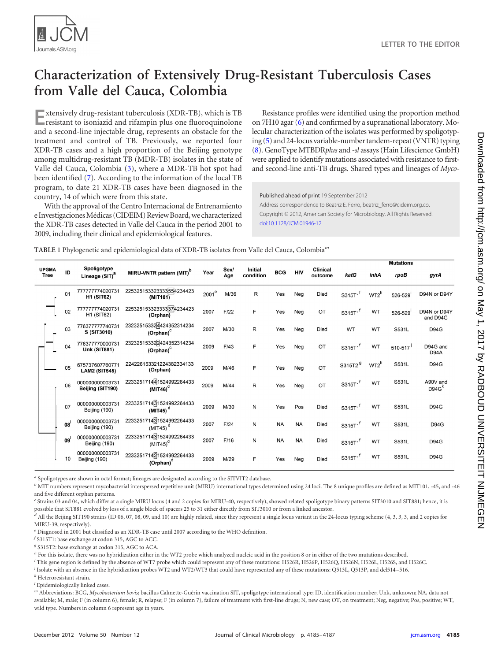

# **Characterization of Extensively Drug-Resistant Tuberculosis Cases from Valle del Cauca, Colombia**

**E**xtensively drug-resistant tuberculosis (XDR-TB), which is TB resistant to isoniazid and rifampin plus one fluoroquinolone and a second-line injectable drug, represents an obstacle for the treatment and control of TB. Previously, we reported four XDR-TB cases and a high proportion of the Beijing genotype among multidrug-resistant TB (MDR-TB) isolates in the state of Valle del Cauca, Colombia [\(3\)](#page-2-0), where a MDR-TB hot spot had been identified [\(7\)](#page-2-1). According to the information of the local TB program, to date 21 XDR-TB cases have been diagnosed in the country, 14 of which were from this state.

With the approval of the Centro Internacional de Entrenamiento e Investigaciones Médicas (CIDEIM) Review Board, we characterized the XDR-TB cases detected in Valle del Cauca in the period 2001 to 2009, including their clinical and epidemiological features.

Resistance profiles were identified using the proportion method on 7H10 agar [\(6\)](#page-2-2) and confirmed by a supranational laboratory. Molecular characterization of the isolates was performed by spoligotyping [\(5\)](#page-2-3) and 24-locus variable-number tandem-repeat (VNTR) typing [\(8\)](#page-2-4). GenoType MTBDR*plus* and *-sl* assays (Hain Lifescience GmbH) were applied to identify mutations associated with resistance to firstand second-line anti-TB drugs. Shared types and lineages of *Myco-*

Published ahead of print 19 September 2012 Address correspondence to Beatriz E. Ferro, beatriz\_ferro@cideim.org.co. Copyright © 2012, American Society for Microbiology. All Rights Reserved. [doi:10.1128/JCM.01946-12](http://dx.doi.org/10.1128/JCM.01946-12)

<span id="page-0-0"></span>**TABLE 1** Phylogenetic and epidemiological data of XDR-TB isolates from Valle del Cauca, Colombia*<sup>m</sup>*

|                             |  |    |                                           |                                                               |                   |             |                      |            |            |                            |                     |           | <b>Mutations</b> |                               |
|-----------------------------|--|----|-------------------------------------------|---------------------------------------------------------------|-------------------|-------------|----------------------|------------|------------|----------------------------|---------------------|-----------|------------------|-------------------------------|
| <b>UPGMA</b><br><b>Tree</b> |  | ID | Spoligotype<br>Lineage (SIT) <sup>a</sup> | MIRU-VNTR pattern (MIT) <sup>D</sup>                          | Year              | Sex/<br>Age | Initial<br>condition | <b>BCG</b> | <b>HIV</b> | <b>Clinical</b><br>outcome | katG                | inhA      | rpoB             | gyrA                          |
|                             |  | 01 | 77777774020731<br><b>H1 (SIT62)</b>       | 225325153323333554234423<br>(MIT101)                          | 2001 <sup>e</sup> | M/36        | R                    | Yes        | Neg        | Died                       | S315T1              | $WT2^h$   | 526-529          | D94N or D94Y                  |
|                             |  | 02 | 77777774020731<br><b>H1 (SIT62)</b>       | 225325153323333374234423<br>(Orphan)                          | 2007              | F/22        | F                    | Yes        | Neg        | OT                         | S315T1              | <b>WT</b> | 526-529          | D94N or D94Y<br>and D94G      |
|                             |  | 03 | 776377777740731<br>S (SIT3010)            | 232325153324424352314234<br>$(Orphan)^C$                      | 2007              | M/30        | R                    | Yes        | Neg        | Died                       | WT                  | WT        | S531L            | <b>D94G</b>                   |
|                             |  | 04 | 776377770000731<br><b>Unk (SIT881)</b>    | 232325153322424352314234<br>(Orphan) <sup>c</sup>             | 2009              | F/43        | F                    | Yes        | Neg        | OT                         | S315T1              | WT        | $510 - 517$      | D94G and<br>D94A              |
|                             |  | 05 | 675737607760771<br><b>LAM2 (SIT545)</b>   | 224226153321224382334133<br>(Orphan)                          | 2009              | M/46        | F                    | Yes        | Neg        | OT                         | S315T2 <sup>9</sup> | $WT2^h$   | S531L            | <b>D94G</b>                   |
|                             |  | 06 | 000000000003731<br>Beijing (SIT190)       | 223325171441524992264433<br>$(MIT46)^d$                       | 2009              | M/44        | R                    | Yes        | Neg        | OT                         | S315T1 <sup>f</sup> | WT        | S531L            | A90V and<br>D94G <sup>K</sup> |
|                             |  | 07 | 000000000003731<br>Beijing (190)          | 223325171431524992264433<br>$\overline{$ (MIT45) <sup>d</sup> | 2009              | M/30        | N                    | Yes        | Pos        | Died                       | S315T1              | <b>WT</b> | S531L            | <b>D94G</b>                   |
|                             |  | 08 | 000000000003731<br>Beijing (190)          | 223325171431524992264433<br>$(MIT45)$ <sup>d</sup>            | 2007              | F/24        | Ν                    | <b>NA</b>  | <b>NA</b>  | Died                       | S315T1              | <b>WT</b> | S531L            | <b>D94G</b>                   |
|                             |  | 09 | 000000000003731<br>Beijing (190)          | 223325171431524992264433<br>$(MIT45)^d$                       | 2007              | F/16        | N                    | <b>NA</b>  | <b>NA</b>  | Died                       | S315T1              | <b>WT</b> | S531L            | <b>D94G</b>                   |
|                             |  | 10 | 000000000003731<br>Beijing (190)          | 223325171421524992264433<br>(Orphan) <sup>d</sup>             | 2009              | M/29        | F                    | Yes        | Neg        | <b>Died</b>                | S315T1              | <b>WT</b> | S531L            | <b>D94G</b>                   |

*<sup>a</sup>* Spoligotypes are shown in octal format; lineages are designated according to the SITVIT2 database.

*<sup>b</sup>* MIT numbers represent mycobacterial interspersed repetitive unit (MIRU) international types determined using 24 loci. The 8 unique profiles are defined as MIT101, -45, and -46 and five different orphan patterns.

*<sup>c</sup>* Strains 03 and 04, which differ at a single MIRU locus (4 and 2 copies for MIRU-40, respectively), showed related spoligotype binary patterns SIT3010 and SIT881; hence, it is possible that SIT881 evolved by loss of a single block of spacers 25 to 31 either directly from SIT3010 or from a linked ancestor.

*<sup>d</sup>* All the Beijing SIT190 strains (ID 06, 07, 08, 09, and 10) are highly related, since they represent a single locus variant in the 24-locus typing scheme (4, 3, 3, 3, and 2 copies for MIRU-39, respectively).

*<sup>e</sup>* Diagnosed in 2001 but classified as an XDR-TB case until 2007 according to the WHO definition.

*f* S315T1: base exchange at codon 315, AGC to ACC.

*<sup>g</sup>* S315T2: base exchange at codon 315, AGC to ACA.

*h* For this isolate, there was no hybridization either in the WT2 probe which analyzed nucleic acid in the position 8 or in either of the two mutations described.

*i* This gene region is defined by the absence of WT7 probe which could represent any of these mutations: H526R, H526P, H526Q, H526N, H526L, H526S, and H526C.

*j* Isolate with an absence in the hybridization probes WT2 and WT2/WT3 that could have represented any of these mutations: Q513L, Q513P, and del514 –516.

*<sup>k</sup>* Heteroresistant strain.

*l* Epidemiologically linked cases.

*<sup>m</sup>* Abbreviations: BCG, *Mycobacterium bovis*; bacillus Calmette-Guérin vaccination SIT, spoligotype international type; ID, identification number; Unk, unknown; NA, data not available; M, male; F (in column 6), female; R, relapse; F (in column 7), failure of treatment with first-line drugs; N, new case; OT, on treatment; Neg, negative; Pos, positive; WT, wild type. Numbers in column 6 represent age in years.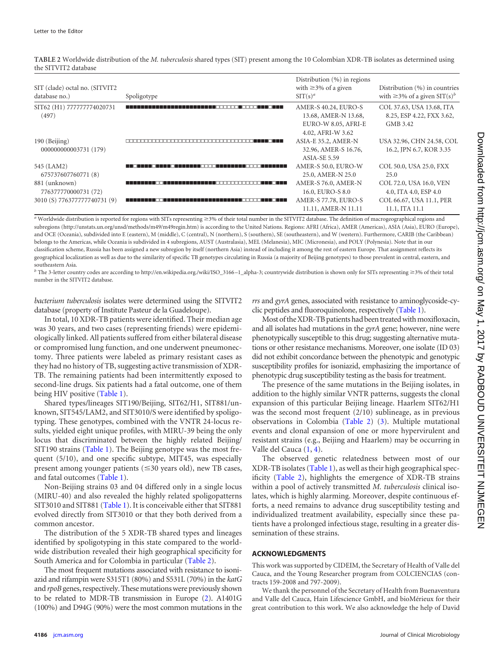<span id="page-1-0"></span>**TABLE 2** Worldwide distribution of the *M. tuberculosis* shared types (SIT) present among the 10 Colombian XDR-TB isolates as determined using the SITVIT2 database

|                                |             | Distribution (%) in regions |                                               |  |  |
|--------------------------------|-------------|-----------------------------|-----------------------------------------------|--|--|
| SIT (clade) octal no. (SITVIT2 |             | with $\geq$ 3% of a given   | Distribution $(\%)$ in countries              |  |  |
| database no.)                  | Spoligotype | $\text{SIT}(s)^a$           | with $\geq$ 3% of a given SIT(s) <sup>b</sup> |  |  |
| SIT62 (H1) 777777774020731     |             | AMER-S 40.24, EURO-S        | COL 37.63, USA 13.68, ITA                     |  |  |
| (497)                          |             | 13.68, AMER-N 13.68,        | 8.25, ESP 4.22, FXX 3.62,                     |  |  |
|                                |             | EURO-W 8.05, AFRI-E         | GMB 3.42                                      |  |  |
|                                |             | 4.02, AFRI-W 3.62           |                                               |  |  |
| 190 (Beijing)                  |             | ASIA-E 35.2, AMER-N         | USA 32.96, CHN 24.58, COL                     |  |  |
| 000000000003731 (179)          |             | 32.96, AMER-S 16.76,        | 16.2, JPN 6.7, KOR 3.35                       |  |  |
|                                |             | <b>ASIA-SE 5.59</b>         |                                               |  |  |
| 545 (LAM2)                     |             | AMER-S 50.0, EURO-W         | COL 50.0, USA 25.0, FXX                       |  |  |
| 675737607760771 (8)            |             | 25.0, AMER-N 25.0           | 25.0                                          |  |  |
| 881 (unknown)                  |             | AMER-S 76.0, AMER-N         | COL 72.0, USA 16.0, VEN                       |  |  |
| 776377770000731 (72)           |             | 16.0, EURO-S 8.0            | 4.0, ITA 4.0, ESP 4.0                         |  |  |
| 3010 (S) 776377777740731 (9)   |             | AMER-S 77.78, EURO-S        | COL 66.67, USA 11.1, PER                      |  |  |
|                                |             | 11.11, AMER-N 11.11         | 11.1, ITA 11.1                                |  |  |

a Worldwide distribution is reported for regions with SITs representing ≥3% of their total number in the SITVIT2 database. The definition of macrogeographical regions and subregions (http://unstats.un.org/unsd/methods/m49/m49regin.htm) is according to the United Nations. Regions: AFRI (Africa), AMER (Americas), ASIA (Asia), EURO (Europe), and OCE (Oceania), subdivided into E (eastern), M (middle), C (central), N (northern), S (southern), SE (southeastern), and W (western). Furthermore, CARIB (the Caribbean) belongs to the Americas, while Oceania is subdivided in 4 subregions, AUST (Australasia), MEL (Melanesia), MIC (Micronesia), and POLY (Polynesia). Note that in our classification scheme, Russia has been assigned a new subregion by itself (northern Asia) instead of including it among the rest of eastern Europe. That assignment reflects its geographical localization as well as due to the similarity of specific TB genotypes circulating in Russia (a majority of Beijing genotypes) to those prevalent in central, eastern, and southeastern Asia.

*<sup>b</sup>* The 3-letter country codes are according to http://en.wikipedia.org./wiki/ISO\_3166 –1\_alpha-3; countrywide distribution is shown only for SITs representing -3% of their total number in the SITVIT2 database.

*bacterium tuberculosis* isolates were determined using the SITVIT2 database (property of Institute Pasteur de la Guadeloupe).

In total, 10 XDR-TB patients were identified. Their median age was 30 years, and two cases (representing friends) were epidemiologically linked. All patients suffered from either bilateral disease or compromised lung function, and one underwent pneumonectomy. Three patients were labeled as primary resistant cases as they had no history of TB, suggesting active transmission of XDR-TB. The remaining patients had been intermittently exposed to second-line drugs. Six patients had a fatal outcome, one of them being HIV positive [\(Table 1\)](#page-0-0).

Shared types/lineages SIT190/Beijing, SIT62/H1, SIT881/unknown, SIT545/LAM2, and SIT3010/S were identified by spoligotyping. These genotypes, combined with the VNTR 24-locus results, yielded eight unique profiles, with MIRU-39 being the only locus that discriminated between the highly related Beijing/ SIT190 strains [\(Table 1\)](#page-0-0). The Beijing genotype was the most frequent (5/10), and one specific subtype, MIT45, was especially present among younger patients ( $\leq$ 30 years old), new TB cases, and fatal outcomes [\(Table 1\)](#page-0-0).

Non-Beijing strains 03 and 04 differed only in a single locus (MIRU-40) and also revealed the highly related spoligopatterns SIT3010 and SIT881 [\(Table 1\)](#page-0-0). It is conceivable either that SIT881 evolved directly from SIT3010 or that they both derived from a common ancestor.

The distribution of the 5 XDR-TB shared types and lineages identified by spoligotyping in this state compared to the worldwide distribution revealed their high geographical specificity for South America and for Colombia in particular [\(Table 2\)](#page-1-0).

The most frequent mutations associated with resistance to isoniazid and rifampin were S315T1 (80%) and S531L (70%) in the *katG* and *rpoB* genes, respectively. These mutations were previously shown to be related to MDR-TB transmission in Europe [\(2\)](#page-2-5). A1401G (100%) and D94G (90%) were the most common mutations in the *rrs* and *gyrA* genes, associated with resistance to aminoglycoside-cyclic peptides and fluoroquinolone, respectively [\(Table 1\)](#page-0-0).

Most of the XDR-TB patients had been treated with moxifloxacin, and all isolates had mutations in the *gyrA* gene; however, nine were phenotypically susceptible to this drug; suggesting alternative mutations or other resistance mechanisms. Moreover, one isolate (ID 03) did not exhibit concordance between the phenotypic and genotypic susceptibility profiles for isoniazid, emphasizing the importance of phenotypic drug susceptibility testing as the basis for treatment.

The presence of the same mutations in the Beijing isolates, in addition to the highly similar VNTR patterns, suggests the clonal expansion of this particular Beijing lineage. Haarlem SIT62/H1 was the second most frequent (2/10) sublineage, as in previous observations in Colombia [\(Table 2\)](#page-1-0) [\(3\)](#page-2-0). Multiple mutational events and clonal expansion of one or more hypervirulent and resistant strains (e.g., Beijing and Haarlem) may be occurring in Valle del Cauca [\(1,](#page-2-6) [4\)](#page-2-7).

The observed genetic relatedness between most of our XDR-TB isolates [\(Table 1\)](#page-0-0), as well as their high geographical specificity [\(Table 2\)](#page-1-0), highlights the emergence of XDR-TB strains within a pool of actively transmitted *M. tuberculosis* clinical isolates, which is highly alarming. Moreover, despite continuous efforts, a need remains to advance drug susceptibility testing and individualized treatment availability, especially since these patients have a prolonged infectious stage, resulting in a greater dissemination of these strains.

### **ACKNOWLEDGMENTS**

This work was supported by CIDEIM, the Secretary of Health of Valle del Cauca, and the Young Researcher program from COLCIENCIAS (contracts 159-2008 and 797-2009).

We thank the personnel of the Secretary of Health from Buenaventura and Valle del Cauca, Hain Lifescience GmbH, and bioMérieux for their great contribution to this work. We also acknowledge the help of David